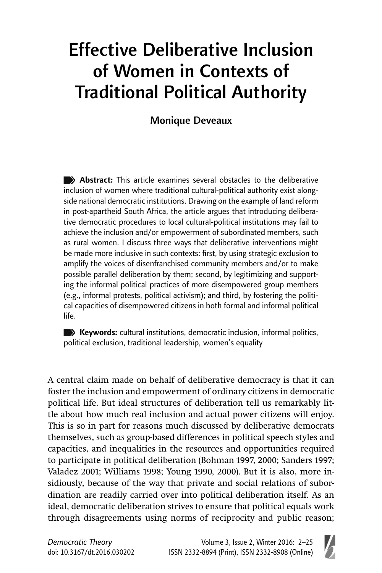# Effective Deliberative Inclusion of Women in Contexts of Traditional Political Authority

# Monique Deveaux

 $\rightarrow$  **Abstract:** This article examines several obstacles to the deliberative inclusion of women where traditional cultural-political authority exist alongside national democratic institutions. Drawing on the example of land reform in post-apartheid South Africa, the article argues that introducing deliberative democratic procedures to local cultural-political institutions may fail to achieve the inclusion and/or empowerment of subordinated members, such as rural women. I discuss three ways that deliberative interventions might be made more inclusive in such contexts: first, by using strategic exclusion to amplify the voices of disenfranchised community members and/or to make possible parallel deliberation by them; second, by legitimizing and supporting the informal political practices of more disempowered group members (e.g., informal protests, political activism); and third, by fostering the political capacities of disempowered citizens in both formal and informal political life.

**Example 20** Keywords: cultural institutions, democratic inclusion, informal politics, political exclusion, traditional leadership, women's equality

A central claim made on behalf of deliberative democracy is that it can foster the inclusion and empowerment of ordinary citizens in democratic political life. But ideal structures of deliberation tell us remarkably little about how much real inclusion and actual power citizens will enjoy. This is so in part for reasons much discussed by deliberative democrats themselves, such as group-based differences in political speech styles and capacities, and inequalities in the resources and opportunities required to participate in political deliberation (Bohman 1997, 2000; Sanders 1997; Valadez 2001; Williams 1998; Young 1990, 2000). But it is also, more insidiously, because of the way that private and social relations of subordination are readily carried over into political deliberation itself. As an ideal, democratic deliberation strives to ensure that political equals work through disagreements using norms of reciprocity and public reason;

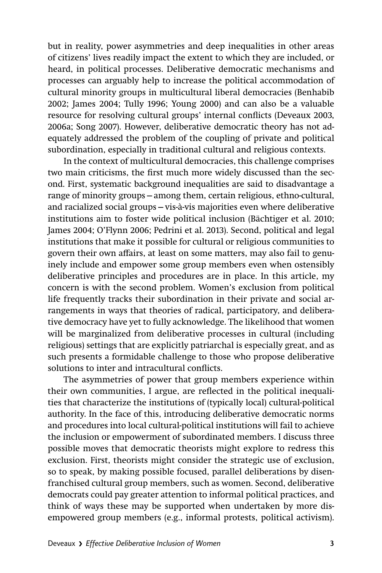but in reality, power asymmetries and deep inequalities in other areas of citizens' lives readily impact the extent to which they are included, or heard, in political processes. Deliberative democratic mechanisms and processes can arguably help to increase the political accommodation of cultural minority groups in multicultural liberal democracies (Benhabib 2002; James 2004; Tully 1996; Young 2000) and can also be a valuable resource for resolving cultural groups' internal conflicts (Deveaux 2003, 2006a; Song 2007). However, deliberative democratic theory has not adequately addressed the problem of the coupling of private and political subordination, especially in traditional cultural and religious contexts.

In the context of multicultural democracies, this challenge comprises two main criticisms, the first much more widely discussed than the second. First, systematic background inequalities are said to disadvantage a range of minority groups—among them, certain religious, ethno-cultural, and racialized social groups—vis-à-vis majorities even where deliberative institutions aim to foster wide political inclusion (Bächtiger et al. 2010; James 2004; O'Flynn 2006; Pedrini et al. 2013). Second, political and legal institutions that make it possible for cultural or religious communities to govern their own affairs, at least on some matters, may also fail to genuinely include and empower some group members even when ostensibly deliberative principles and procedures are in place. In this article, my concern is with the second problem. Women's exclusion from political life frequently tracks their subordination in their private and social arrangements in ways that theories of radical, participatory, and deliberative democracy have yet to fully acknowledge. The likelihood that women will be marginalized from deliberative processes in cultural (including religious) settings that are explicitly patriarchal is especially great, and as such presents a formidable challenge to those who propose deliberative solutions to inter and intracultural conflicts.

The asymmetries of power that group members experience within their own communities, I argue, are reflected in the political inequalities that characterize the institutions of (typically local) cultural-political authority. In the face of this, introducing deliberative democratic norms and procedures into local cultural-political institutions will fail to achieve the inclusion or empowerment of subordinated members. I discuss three possible moves that democratic theorists might explore to redress this exclusion. First, theorists might consider the strategic use of exclusion, so to speak, by making possible focused, parallel deliberations by disenfranchised cultural group members, such as women. Second, deliberative democrats could pay greater attention to informal political practices, and think of ways these may be supported when undertaken by more disempowered group members (e.g., informal protests, political activism).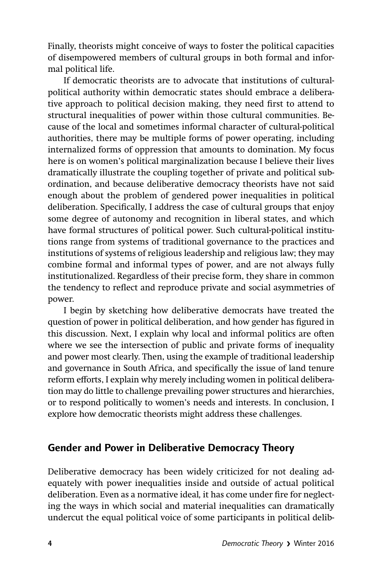Finally, theorists might conceive of ways to foster the political capacities of disempowered members of cultural groups in both formal and informal political life.

If democratic theorists are to advocate that institutions of culturalpolitical authority within democratic states should embrace a deliberative approach to political decision making, they need first to attend to structural inequalities of power within those cultural communities. Because of the local and sometimes informal character of cultural-political authorities, there may be multiple forms of power operating, including internalized forms of oppression that amounts to domination. My focus here is on women's political marginalization because I believe their lives dramatically illustrate the coupling together of private and political subordination, and because deliberative democracy theorists have not said enough about the problem of gendered power inequalities in political deliberation. Specifically, I address the case of cultural groups that enjoy some degree of autonomy and recognition in liberal states, and which have formal structures of political power. Such cultural-political institutions range from systems of traditional governance to the practices and institutions of systems of religious leadership and religious law; they may combine formal and informal types of power, and are not always fully institutionalized. Regardless of their precise form, they share in common the tendency to reflect and reproduce private and social asymmetries of power.

I begin by sketching how deliberative democrats have treated the question of power in political deliberation, and how gender has figured in this discussion. Next, I explain why local and informal politics are often where we see the intersection of public and private forms of inequality and power most clearly. Then, using the example of traditional leadership and governance in South Africa, and specifically the issue of land tenure reform efforts, I explain why merely including women in political deliberation may do little to challenge prevailing power structures and hierarchies, or to respond politically to women's needs and interests. In conclusion, I explore how democratic theorists might address these challenges.

# **Gender and Power in Deliberative Democracy Theory**

Deliberative democracy has been widely criticized for not dealing adequately with power inequalities inside and outside of actual political deliberation. Even as a normative ideal, it has come under fire for neglecting the ways in which social and material inequalities can dramatically undercut the equal political voice of some participants in political delib-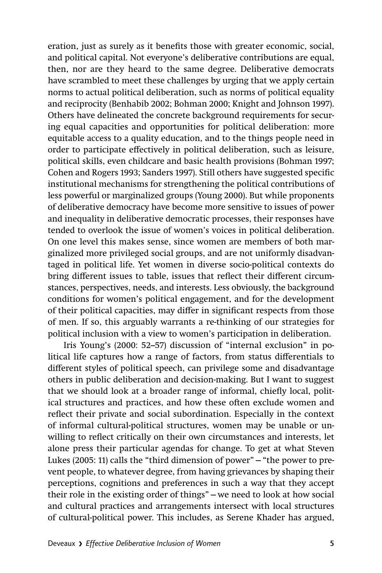eration, just as surely as it benefits those with greater economic, social, and political capital. Not everyone's deliberative contributions are equal, then, nor are they heard to the same degree. Deliberative democrats have scrambled to meet these challenges by urging that we apply certain norms to actual political deliberation, such as norms of political equality and reciprocity (Benhabib 2002; Bohman 2000; Knight and Johnson 1997). Others have delineated the concrete background requirements for securing equal capacities and opportunities for political deliberation: more equitable access to a quality education, and to the things people need in order to participate effectively in political deliberation, such as leisure, political skills, even childcare and basic health provisions (Bohman 1997; Cohen and Rogers 1993; Sanders 1997). Still others have suggested specific institutional mechanisms for strengthening the political contributions of less powerful or marginalized groups (Young 2000). But while proponents of deliberative democracy have become more sensitive to issues of power and inequality in deliberative democratic processes, their responses have tended to overlook the issue of women's voices in political deliberation. On one level this makes sense, since women are members of both marginalized more privileged social groups, and are not uniformly disadvantaged in political life. Yet women in diverse socio-political contexts do bring different issues to table, issues that reflect their different circumstances, perspectives, needs, and interests. Less obviously, the background conditions for women's political engagement, and for the development of their political capacities, may differ in significant respects from those of men. If so, this arguably warrants a re-thinking of our strategies for political inclusion with a view to women's participation in deliberation.

Iris Young's (2000: 52–57) discussion of "internal exclusion" in political life captures how a range of factors, from status differentials to different styles of political speech, can privilege some and disadvantage others in public deliberation and decision-making. But I want to suggest that we should look at a broader range of informal, chiefly local, political structures and practices, and how these often exclude women and reflect their private and social subordination. Especially in the context of informal cultural-political structures, women may be unable or unwilling to reflect critically on their own circumstances and interests, let alone press their particular agendas for change. To get at what Steven Lukes (2005: 11) calls the "third dimension of power"—"the power to prevent people, to whatever degree, from having grievances by shaping their perceptions, cognitions and preferences in such a way that they accept their role in the existing order of things"—we need to look at how social and cultural practices and arrangements intersect with local structures of cultural-political power. This includes, as Serene Khader has argued,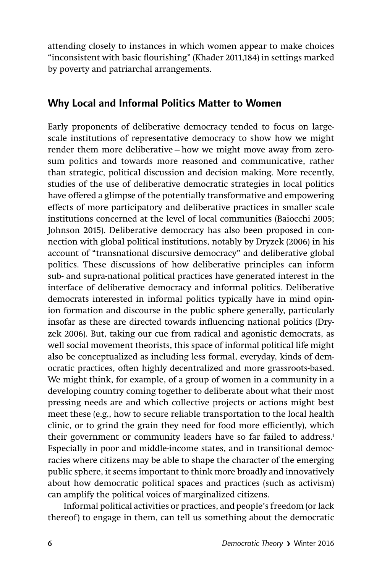attending closely to instances in which women appear to make choices "inconsistent with basic flourishing" (Khader 2011,184) in settings marked by poverty and patriarchal arrangements.

# **Why Local and Informal Politics Matter to Women**

Early proponents of deliberative democracy tended to focus on largescale institutions of representative democracy to show how we might render them more deliberative—how we might move away from zerosum politics and towards more reasoned and communicative, rather than strategic, political discussion and decision making. More recently, studies of the use of deliberative democratic strategies in local politics have offered a glimpse of the potentially transformative and empowering effects of more participatory and deliberative practices in smaller scale institutions concerned at the level of local communities (Baiocchi 2005; Johnson 2015). Deliberative democracy has also been proposed in connection with global political institutions, notably by Dryzek (2006) in his account of "transnational discursive democracy" and deliberative global politics. These discussions of how deliberative principles can inform sub- and supra-national political practices have generated interest in the interface of deliberative democracy and informal politics. Deliberative democrats interested in informal politics typically have in mind opinion formation and discourse in the public sphere generally, particularly insofar as these are directed towards influencing national politics (Dryzek 2006). But, taking our cue from radical and agonistic democrats, as well social movement theorists, this space of informal political life might also be conceptualized as including less formal, everyday, kinds of democratic practices, often highly decentralized and more grassroots-based. We might think, for example, of a group of women in a community in a developing country coming together to deliberate about what their most pressing needs are and which collective projects or actions might best meet these (e.g., how to secure reliable transportation to the local health clinic, or to grind the grain they need for food more efficiently), which their government or community leaders have so far failed to address.<sup>1</sup> Especially in poor and middle-income states, and in transitional democracies where citizens may be able to shape the character of the emerging public sphere, it seems important to think more broadly and innovatively about how democratic political spaces and practices (such as activism) can amplify the political voices of marginalized citizens.

Informal political activities or practices, and people's freedom (or lack thereof) to engage in them, can tell us something about the democratic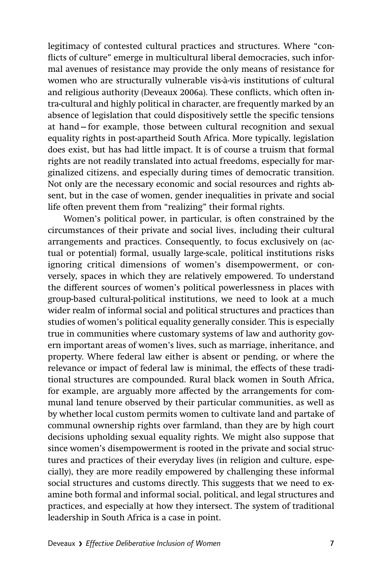legitimacy of contested cultural practices and structures. Where "conflicts of culture" emerge in multicultural liberal democracies, such informal avenues of resistance may provide the only means of resistance for women who are structurally vulnerable vis-à-vis institutions of cultural and religious authority (Deveaux 2006a). These conflicts, which often intra-cultural and highly political in character, are frequently marked by an absence of legislation that could dispositively settle the specific tensions at hand—for example, those between cultural recognition and sexual equality rights in post-apartheid South Africa. More typically, legislation does exist, but has had little impact. It is of course a truism that formal rights are not readily translated into actual freedoms, especially for marginalized citizens, and especially during times of democratic transition. Not only are the necessary economic and social resources and rights absent, but in the case of women, gender inequalities in private and social life often prevent them from "realizing" their formal rights.

Women's political power, in particular, is often constrained by the circumstances of their private and social lives, including their cultural arrangements and practices. Consequently, to focus exclusively on (actual or potential) formal, usually large-scale, political institutions risks ignoring critical dimensions of women's disempowerment, or conversely, spaces in which they are relatively empowered. To understand the different sources of women's political powerlessness in places with group-based cultural-political institutions, we need to look at a much wider realm of informal social and political structures and practices than studies of women's political equality generally consider. This is especially true in communities where customary systems of law and authority govern important areas of women's lives, such as marriage, inheritance, and property. Where federal law either is absent or pending, or where the relevance or impact of federal law is minimal, the effects of these traditional structures are compounded. Rural black women in South Africa, for example, are arguably more affected by the arrangements for communal land tenure observed by their particular communities, as well as by whether local custom permits women to cultivate land and partake of communal ownership rights over farmland, than they are by high court decisions upholding sexual equality rights. We might also suppose that since women's disempowerment is rooted in the private and social structures and practices of their everyday lives (in religion and culture, especially), they are more readily empowered by challenging these informal social structures and customs directly. This suggests that we need to examine both formal and informal social, political, and legal structures and practices, and especially at how they intersect. The system of traditional leadership in South Africa is a case in point.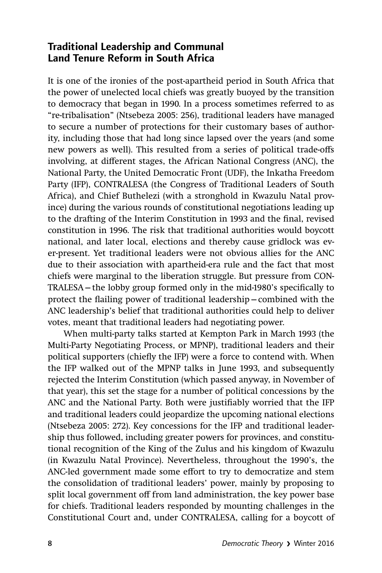## **Traditional Leadership and Communal Land Tenure Reform in South Africa**

It is one of the ironies of the post-apartheid period in South Africa that the power of unelected local chiefs was greatly buoyed by the transition to democracy that began in 1990. In a process sometimes referred to as "re-tribalisation" (Ntsebeza 2005: 256), traditional leaders have managed to secure a number of protections for their customary bases of authority, including those that had long since lapsed over the years (and some new powers as well). This resulted from a series of political trade-offs involving, at different stages, the African National Congress (ANC), the National Party, the United Democratic Front (UDF), the Inkatha Freedom Party (IFP), CONTRALESA (the Congress of Traditional Leaders of South Africa), and Chief Buthelezi (with a stronghold in Kwazulu Natal province) during the various rounds of constitutional negotiations leading up to the drafting of the Interim Constitution in 1993 and the final, revised constitution in 1996. The risk that traditional authorities would boycott national, and later local, elections and thereby cause gridlock was ever-present. Yet traditional leaders were not obvious allies for the ANC due to their association with apartheid-era rule and the fact that most chiefs were marginal to the liberation struggle. But pressure from CON-TRALESA – the lobby group formed only in the mid-1980's specifically to protect the flailing power of traditional leadership – combined with the ANC leadership's belief that traditional authorities could help to deliver votes, meant that traditional leaders had negotiating power.

When multi-party talks started at Kempton Park in March 1993 (the Multi-Party Negotiating Process, or MPNP), traditional leaders and their political supporters (chiefly the IFP) were a force to contend with. When the IFP walked out of the MPNP talks in June 1993, and subsequently rejected the Interim Constitution (which passed anyway, in November of that year), this set the stage for a number of political concessions by the ANC and the National Party. Both were justifiably worried that the IFP and traditional leaders could jeopardize the upcoming national elections (Ntsebeza 2005: 272). Key concessions for the IFP and traditional leadership thus followed, including greater powers for provinces, and constitutional recognition of the King of the Zulus and his kingdom of Kwazulu (in Kwazulu Natal Province). Nevertheless, throughout the 1990's, the ANC-led government made some effort to try to democratize and stem the consolidation of traditional leaders' power, mainly by proposing to split local government off from land administration, the key power base for chiefs. Traditional leaders responded by mounting challenges in the Constitutional Court and, under CONTRALESA, calling for a boycott of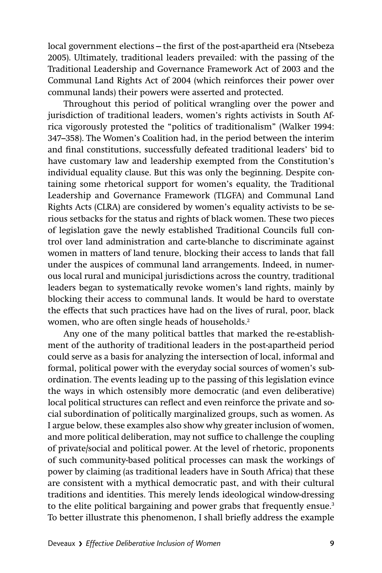local government elections – the first of the post-apartheid era (Ntsebeza 2005). Ultimately, traditional leaders prevailed: with the passing of the Traditional Leadership and Governance Framework Act of 2003 and the Communal Land Rights Act of 2004 (which reinforces their power over communal lands) their powers were asserted and protected.

Throughout this period of political wrangling over the power and jurisdiction of traditional leaders, women's rights activists in South Africa vigorously protested the "politics of traditionalism" (Walker 1994: 347–358). The Women's Coalition had, in the period between the interim and final constitutions, successfully defeated traditional leaders' bid to have customary law and leadership exempted from the Constitution's individual equality clause. But this was only the beginning. Despite containing some rhetorical support for women's equality, the Traditional Leadership and Governance Framework (TLGFA) and Communal Land Rights Acts (CLRA) are considered by women's equality activists to be serious setbacks for the status and rights of black women. These two pieces of legislation gave the newly established Traditional Councils full control over land administration and carte-blanche to discriminate against women in matters of land tenure, blocking their access to lands that fall under the auspices of communal land arrangements. Indeed, in numerous local rural and municipal jurisdictions across the country, traditional leaders began to systematically revoke women's land rights, mainly by blocking their access to communal lands. It would be hard to overstate the effects that such practices have had on the lives of rural, poor, black women, who are often single heads of households.<sup>2</sup>

Any one of the many political battles that marked the re-establishment of the authority of traditional leaders in the post-apartheid period could serve as a basis for analyzing the intersection of local, informal and formal, political power with the everyday social sources of women's subordination. The events leading up to the passing of this legislation evince the ways in which ostensibly more democratic (and even deliberative) local political structures can reflect and even reinforce the private and social subordination of politically marginalized groups, such as women. As I argue below, these examples also show why greater inclusion of women, and more political deliberation, may not suffice to challenge the coupling of private/social and political power. At the level of rhetoric, proponents of such community-based political processes can mask the workings of power by claiming (as traditional leaders have in South Africa) that these are consistent with a mythical democratic past, and with their cultural traditions and identities. This merely lends ideological window-dressing to the elite political bargaining and power grabs that frequently ensue.<sup>3</sup> To better illustrate this phenomenon, I shall briefly address the example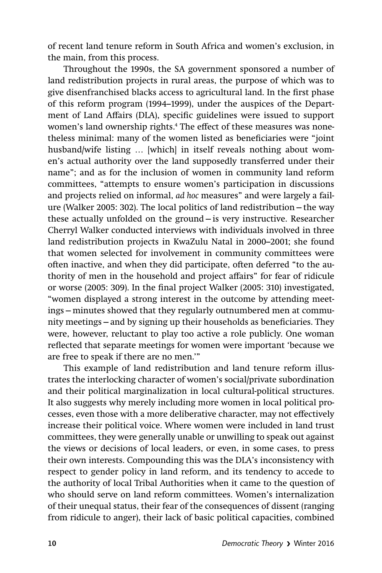of recent land tenure reform in South Africa and women's exclusion, in the main, from this process.

Throughout the 1990s, the SA government sponsored a number of land redistribution projects in rural areas, the purpose of which was to give disenfranchised blacks access to agricultural land. In the first phase of this reform program (1994–1999), under the auspices of the Department of Land Affairs (DLA), specific guidelines were issued to support women's land ownership rights.<sup>4</sup> The effect of these measures was nonetheless minimal: many of the women listed as beneficiaries were "joint husband/wife listing … [which] in itself reveals nothing about women's actual authority over the land supposedly transferred under their name"; and as for the inclusion of women in community land reform committees, "attempts to ensure women's participation in discussions and projects relied on informal, *ad hoc* measures" and were largely a failure (Walker 2005: 302). The local politics of land redistribution—the way these actually unfolded on the ground—is very instructive. Researcher Cherryl Walker conducted interviews with individuals involved in three land redistribution projects in KwaZulu Natal in 2000–2001; she found that women selected for involvement in community committees were often inactive, and when they did participate, often deferred "to the authority of men in the household and project affairs" for fear of ridicule or worse (2005: 309). In the final project Walker (2005: 310) investigated, "women displayed a strong interest in the outcome by attending meetings—minutes showed that they regularly outnumbered men at community meetings – and by signing up their households as beneficiaries. They were, however, reluctant to play too active a role publicly. One woman reflected that separate meetings for women were important 'because we are free to speak if there are no men.'"

This example of land redistribution and land tenure reform illustrates the interlocking character of women's social/private subordination and their political marginalization in local cultural-political structures. It also suggests why merely including more women in local political processes, even those with a more deliberative character, may not effectively increase their political voice. Where women were included in land trust committees, they were generally unable or unwilling to speak out against the views or decisions of local leaders, or even, in some cases, to press their own interests. Compounding this was the DLA's inconsistency with respect to gender policy in land reform, and its tendency to accede to the authority of local Tribal Authorities when it came to the question of who should serve on land reform committees. Women's internalization of their unequal status, their fear of the consequences of dissent (ranging from ridicule to anger), their lack of basic political capacities, combined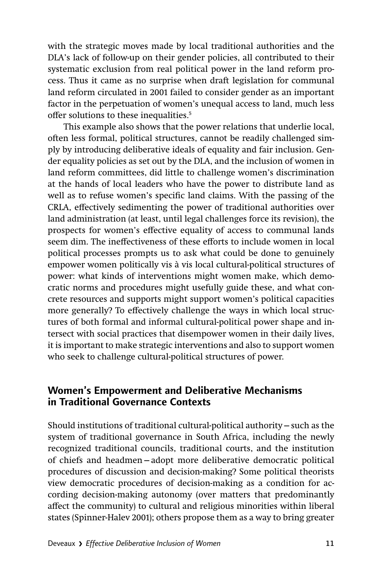with the strategic moves made by local traditional authorities and the DLA's lack of follow-up on their gender policies, all contributed to their systematic exclusion from real political power in the land reform process. Thus it came as no surprise when draft legislation for communal land reform circulated in 2001 failed to consider gender as an important factor in the perpetuation of women's unequal access to land, much less offer solutions to these inequalities.<sup>5</sup>

This example also shows that the power relations that underlie local, often less formal, political structures, cannot be readily challenged simply by introducing deliberative ideals of equality and fair inclusion. Gender equality policies as set out by the DLA, and the inclusion of women in land reform committees, did little to challenge women's discrimination at the hands of local leaders who have the power to distribute land as well as to refuse women's specific land claims. With the passing of the CRLA, effectively sedimenting the power of traditional authorities over land administration (at least, until legal challenges force its revision), the prospects for women's effective equality of access to communal lands seem dim. The ineffectiveness of these efforts to include women in local political processes prompts us to ask what could be done to genuinely empower women politically vis à vis local cultural-political structures of power: what kinds of interventions might women make, which democratic norms and procedures might usefully guide these, and what concrete resources and supports might support women's political capacities more generally? To effectively challenge the ways in which local structures of both formal and informal cultural-political power shape and intersect with social practices that disempower women in their daily lives, it is important to make strategic interventions and also to support women who seek to challenge cultural-political structures of power.

## **Women's Empowerment and Deliberative Mechanisms in Traditional Governance Contexts**

Should institutions of traditional cultural-political authority—such as the system of traditional governance in South Africa, including the newly recognized traditional councils, traditional courts, and the institution of chiefs and headmen—adopt more deliberative democratic political procedures of discussion and decision-making? Some political theorists view democratic procedures of decision-making as a condition for according decision-making autonomy (over matters that predominantly affect the community) to cultural and religious minorities within liberal states (Spinner-Halev 2001); others propose them as a way to bring greater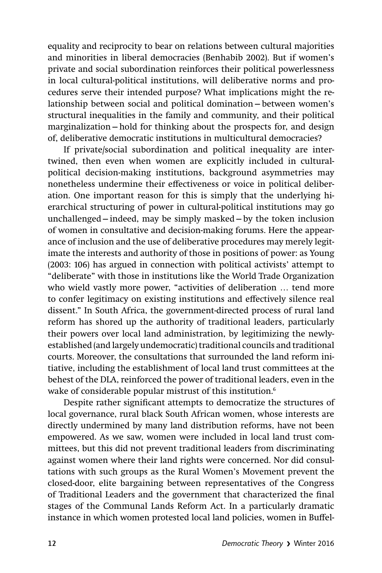equality and reciprocity to bear on relations between cultural majorities and minorities in liberal democracies (Benhabib 2002). But if women's private and social subordination reinforces their political powerlessness in local cultural-political institutions, will deliberative norms and procedures serve their intended purpose? What implications might the relationship between social and political domination—between women's structural inequalities in the family and community, and their political marginalization—hold for thinking about the prospects for, and design of, deliberative democratic institutions in multicultural democracies?

If private/social subordination and political inequality are intertwined, then even when women are explicitly included in culturalpolitical decision-making institutions, background asymmetries may nonetheless undermine their effectiveness or voice in political deliberation. One important reason for this is simply that the underlying hierarchical structuring of power in cultural-political institutions may go unchallenged—indeed, may be simply masked—by the token inclusion of women in consultative and decision-making forums. Here the appearance of inclusion and the use of deliberative procedures may merely legitimate the interests and authority of those in positions of power: as Young (2003: 106) has argued in connection with political activists' attempt to "deliberate" with those in institutions like the World Trade Organization who wield vastly more power, "activities of deliberation … tend more to confer legitimacy on existing institutions and effectively silence real dissent." In South Africa, the government-directed process of rural land reform has shored up the authority of traditional leaders, particularly their powers over local land administration, by legitimizing the newlyestablished (and largely undemocratic) traditional councils and traditional courts. Moreover, the consultations that surrounded the land reform initiative, including the establishment of local land trust committees at the behest of the DLA, reinforced the power of traditional leaders, even in the wake of considerable popular mistrust of this institution.<sup>6</sup>

Despite rather significant attempts to democratize the structures of local governance, rural black South African women, whose interests are directly undermined by many land distribution reforms, have not been empowered. As we saw, women were included in local land trust committees, but this did not prevent traditional leaders from discriminating against women where their land rights were concerned. Nor did consultations with such groups as the Rural Women's Movement prevent the closed-door, elite bargaining between representatives of the Congress of Traditional Leaders and the government that characterized the final stages of the Communal Lands Reform Act. In a particularly dramatic instance in which women protested local land policies, women in Buffel-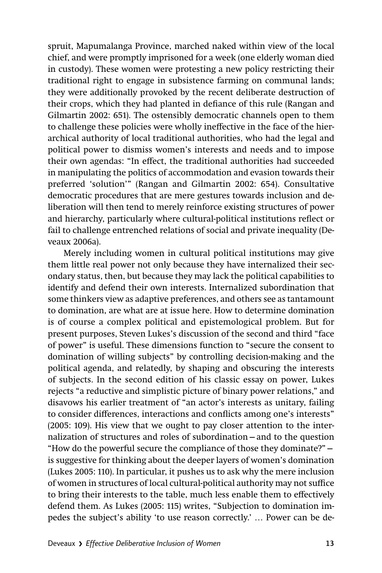spruit, Mapumalanga Province, marched naked within view of the local chief, and were promptly imprisoned for a week (one elderly woman died in custody). These women were protesting a new policy restricting their traditional right to engage in subsistence farming on communal lands; they were additionally provoked by the recent deliberate destruction of their crops, which they had planted in defiance of this rule (Rangan and Gilmartin 2002: 651). The ostensibly democratic channels open to them to challenge these policies were wholly ineffective in the face of the hierarchical authority of local traditional authorities, who had the legal and political power to dismiss women's interests and needs and to impose their own agendas: "In effect, the traditional authorities had succeeded in manipulating the politics of accommodation and evasion towards their preferred 'solution'" (Rangan and Gilmartin 2002: 654). Consultative democratic procedures that are mere gestures towards inclusion and deliberation will then tend to merely reinforce existing structures of power and hierarchy, particularly where cultural-political institutions reflect or fail to challenge entrenched relations of social and private inequality (Deveaux 2006a).

Merely including women in cultural political institutions may give them little real power not only because they have internalized their secondary status, then, but because they may lack the political capabilities to identify and defend their own interests. Internalized subordination that some thinkers view as adaptive preferences, and others see as tantamount to domination, are what are at issue here. How to determine domination is of course a complex political and epistemological problem. But for present purposes, Steven Lukes's discussion of the second and third "face of power" is useful. These dimensions function to "secure the consent to domination of willing subjects" by controlling decision-making and the political agenda, and relatedly, by shaping and obscuring the interests of subjects. In the second edition of his classic essay on power, Lukes rejects "a reductive and simplistic picture of binary power relations," and disavows his earlier treatment of "an actor's interests as unitary, failing to consider differences, interactions and conflicts among one's interests" (2005: 109). His view that we ought to pay closer attention to the internalization of structures and roles of subordination—and to the question "How do the powerful secure the compliance of those they dominate?" is suggestive for thinking about the deeper layers of women's domination (Lukes 2005: 110). In particular, it pushes us to ask why the mere inclusion of women in structures of local cultural-political authority may not suffice to bring their interests to the table, much less enable them to effectively defend them. As Lukes (2005: 115) writes, "Subjection to domination impedes the subject's ability 'to use reason correctly.' … Power can be de-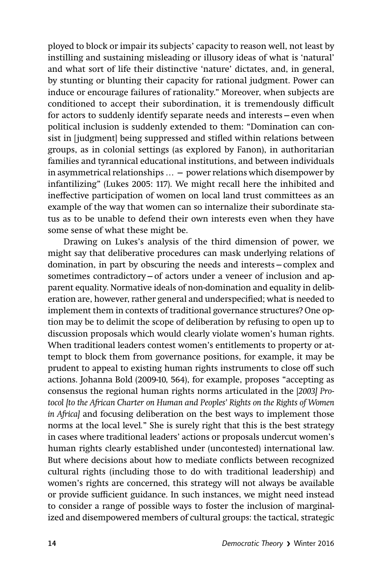ployed to block or impair its subjects' capacity to reason well, not least by instilling and sustaining misleading or illusory ideas of what is 'natural' and what sort of life their distinctive 'nature' dictates, and, in general, by stunting or blunting their capacity for rational judgment. Power can induce or encourage failures of rationality." Moreover, when subjects are conditioned to accept their subordination, it is tremendously difficult for actors to suddenly identify separate needs and interests—even when political inclusion is suddenly extended to them: "Domination can consist in [judgment] being suppressed and stifled within relations between groups, as in colonial settings (as explored by Fanon), in authoritarian families and tyrannical educational institutions, and between individuals in asymmetrical relationships … — power relations which disempower by infantilizing" (Lukes 2005: 117). We might recall here the inhibited and ineffective participation of women on local land trust committees as an example of the way that women can so internalize their subordinate status as to be unable to defend their own interests even when they have some sense of what these might be.

Drawing on Lukes's analysis of the third dimension of power, we might say that deliberative procedures can mask underlying relations of domination, in part by obscuring the needs and interests—complex and sometimes contradictory—of actors under a veneer of inclusion and apparent equality. Normative ideals of non-domination and equality in deliberation are, however, rather general and underspecified; what is needed to implement them in contexts of traditional governance structures? One option may be to delimit the scope of deliberation by refusing to open up to discussion proposals which would clearly violate women's human rights. When traditional leaders contest women's entitlements to property or attempt to block them from governance positions, for example, it may be prudent to appeal to existing human rights instruments to close off such actions. Johanna Bold (2009-10, 564), for example, proposes "accepting as consensus the regional human rights norms articulated in the [*2003] Protocol [to the African Charter on Human and Peoples' Rights on the Rights of Women in Africa]* and focusing deliberation on the best ways to implement those norms at the local level*.*" She is surely right that this is the best strategy in cases where traditional leaders' actions or proposals undercut women's human rights clearly established under (uncontested) international law. But where decisions about how to mediate conflicts between recognized cultural rights (including those to do with traditional leadership) and women's rights are concerned, this strategy will not always be available or provide sufficient guidance. In such instances, we might need instead to consider a range of possible ways to foster the inclusion of marginalized and disempowered members of cultural groups: the tactical, strategic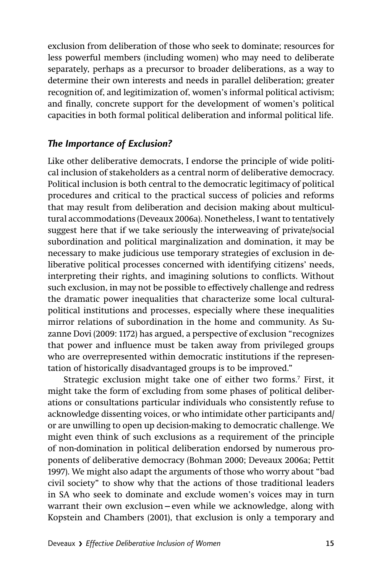exclusion from deliberation of those who seek to dominate; resources for less powerful members (including women) who may need to deliberate separately, perhaps as a precursor to broader deliberations, as a way to determine their own interests and needs in parallel deliberation; greater recognition of, and legitimization of, women's informal political activism; and finally, concrete support for the development of women's political capacities in both formal political deliberation and informal political life.

# *The Importance of Exclusion?*

Like other deliberative democrats, I endorse the principle of wide political inclusion of stakeholders as a central norm of deliberative democracy. Political inclusion is both central to the democratic legitimacy of political procedures and critical to the practical success of policies and reforms that may result from deliberation and decision making about multicultural accommodations (Deveaux 2006a). Nonetheless, I want to tentatively suggest here that if we take seriously the interweaving of private/social subordination and political marginalization and domination, it may be necessary to make judicious use temporary strategies of exclusion in deliberative political processes concerned with identifying citizens' needs, interpreting their rights, and imagining solutions to conflicts. Without such exclusion, in may not be possible to effectively challenge and redress the dramatic power inequalities that characterize some local culturalpolitical institutions and processes, especially where these inequalities mirror relations of subordination in the home and community. As Suzanne Dovi (2009: 1172) has argued, a perspective of exclusion "recognizes that power and influence must be taken away from privileged groups who are overrepresented within democratic institutions if the representation of historically disadvantaged groups is to be improved."

Strategic exclusion might take one of either two forms.7 First, it might take the form of excluding from some phases of political deliberations or consultations particular individuals who consistently refuse to acknowledge dissenting voices, or who intimidate other participants and/ or are unwilling to open up decision-making to democratic challenge. We might even think of such exclusions as a requirement of the principle of non-domination in political deliberation endorsed by numerous proponents of deliberative democracy (Bohman 2000; Deveaux 2006a; Pettit 1997). We might also adapt the arguments of those who worry about "bad civil society" to show why that the actions of those traditional leaders in SA who seek to dominate and exclude women's voices may in turn warrant their own exclusion—even while we acknowledge, along with Kopstein and Chambers (2001), that exclusion is only a temporary and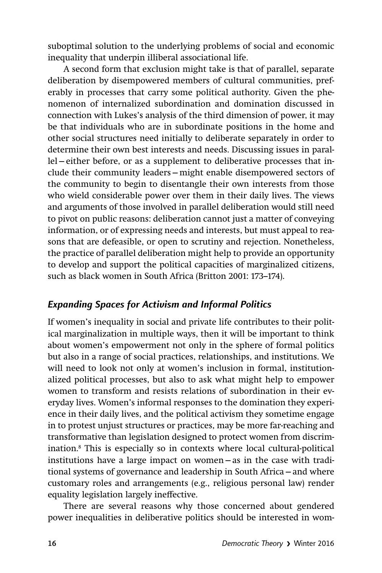suboptimal solution to the underlying problems of social and economic inequality that underpin illiberal associational life.

A second form that exclusion might take is that of parallel, separate deliberation by disempowered members of cultural communities, preferably in processes that carry some political authority. Given the phenomenon of internalized subordination and domination discussed in connection with Lukes's analysis of the third dimension of power, it may be that individuals who are in subordinate positions in the home and other social structures need initially to deliberate separately in order to determine their own best interests and needs. Discussing issues in parallel—either before, or as a supplement to deliberative processes that include their community leaders—might enable disempowered sectors of the community to begin to disentangle their own interests from those who wield considerable power over them in their daily lives. The views and arguments of those involved in parallel deliberation would still need to pivot on public reasons: deliberation cannot just a matter of conveying information, or of expressing needs and interests, but must appeal to reasons that are defeasible, or open to scrutiny and rejection. Nonetheless, the practice of parallel deliberation might help to provide an opportunity to develop and support the political capacities of marginalized citizens, such as black women in South Africa (Britton 2001: 173–174).

#### *Expanding Spaces for Activism and Informal Politics*

If women's inequality in social and private life contributes to their political marginalization in multiple ways, then it will be important to think about women's empowerment not only in the sphere of formal politics but also in a range of social practices, relationships, and institutions. We will need to look not only at women's inclusion in formal, institutionalized political processes, but also to ask what might help to empower women to transform and resists relations of subordination in their everyday lives. Women's informal responses to the domination they experience in their daily lives, and the political activism they sometime engage in to protest unjust structures or practices, may be more far-reaching and transformative than legislation designed to protect women from discrimination.8 This is especially so in contexts where local cultural-political institutions have a large impact on women—as in the case with traditional systems of governance and leadership in South Africa—and where customary roles and arrangements (e.g., religious personal law) render equality legislation largely ineffective.

There are several reasons why those concerned about gendered power inequalities in deliberative politics should be interested in wom-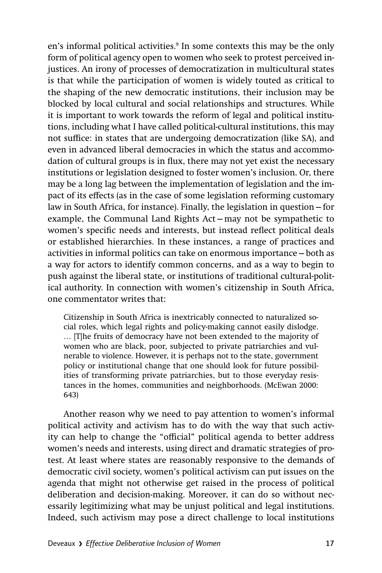en's informal political activities.<sup>9</sup> In some contexts this may be the only form of political agency open to women who seek to protest perceived injustices. An irony of processes of democratization in multicultural states is that while the participation of women is widely touted as critical to the shaping of the new democratic institutions, their inclusion may be blocked by local cultural and social relationships and structures. While it is important to work towards the reform of legal and political institutions, including what I have called political-cultural institutions, this may not suffice: in states that are undergoing democratization (like SA), and even in advanced liberal democracies in which the status and accommodation of cultural groups is in flux, there may not yet exist the necessary institutions or legislation designed to foster women's inclusion. Or, there may be a long lag between the implementation of legislation and the impact of its effects (as in the case of some legislation reforming customary law in South Africa, for instance). Finally, the legislation in question—for example, the Communal Land Rights Act—may not be sympathetic to women's specific needs and interests, but instead reflect political deals or established hierarchies. In these instances, a range of practices and activities in informal politics can take on enormous importance—both as a way for actors to identify common concerns, and as a way to begin to push against the liberal state, or institutions of traditional cultural-political authority. In connection with women's citizenship in South Africa, one commentator writes that:

Citizenship in South Africa is inextricably connected to naturalized social roles, which legal rights and policy-making cannot easily dislodge. … [T]he fruits of democracy have not been extended to the majority of women who are black, poor, subjected to private patriarchies and vulnerable to violence. However, it is perhaps not to the state, government policy or institutional change that one should look for future possibilities of transforming private patriarchies, but to those everyday resistances in the homes, communities and neighborhoods. (McEwan 2000: 643)

Another reason why we need to pay attention to women's informal political activity and activism has to do with the way that such activity can help to change the "official" political agenda to better address women's needs and interests, using direct and dramatic strategies of protest. At least where states are reasonably responsive to the demands of democratic civil society, women's political activism can put issues on the agenda that might not otherwise get raised in the process of political deliberation and decision-making. Moreover, it can do so without necessarily legitimizing what may be unjust political and legal institutions. Indeed, such activism may pose a direct challenge to local institutions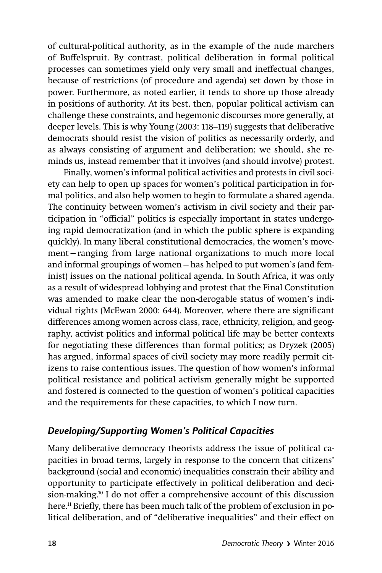of cultural-political authority, as in the example of the nude marchers of Buffelspruit. By contrast, political deliberation in formal political processes can sometimes yield only very small and ineffectual changes, because of restrictions (of procedure and agenda) set down by those in power. Furthermore, as noted earlier, it tends to shore up those already in positions of authority. At its best, then, popular political activism can challenge these constraints, and hegemonic discourses more generally, at deeper levels. This is why Young (2003: 118–119) suggests that deliberative democrats should resist the vision of politics as necessarily orderly, and as always consisting of argument and deliberation; we should, she reminds us, instead remember that it involves (and should involve) protest.

Finally, women's informal political activities and protests in civil society can help to open up spaces for women's political participation in formal politics, and also help women to begin to formulate a shared agenda. The continuity between women's activism in civil society and their participation in "official" politics is especially important in states undergoing rapid democratization (and in which the public sphere is expanding quickly). In many liberal constitutional democracies, the women's movement—ranging from large national organizations to much more local and informal groupings of women—has helped to put women's (and feminist) issues on the national political agenda. In South Africa, it was only as a result of widespread lobbying and protest that the Final Constitution was amended to make clear the non-derogable status of women's individual rights (McEwan 2000: 644). Moreover, where there are significant differences among women across class, race, ethnicity, religion, and geography, activist politics and informal political life may be better contexts for negotiating these differences than formal politics; as Dryzek (2005) has argued, informal spaces of civil society may more readily permit citizens to raise contentious issues. The question of how women's informal political resistance and political activism generally might be supported and fostered is connected to the question of women's political capacities and the requirements for these capacities, to which I now turn.

#### *Developing/Supporting Women's Political Capacities*

Many deliberative democracy theorists address the issue of political capacities in broad terms, largely in response to the concern that citizens' background (social and economic) inequalities constrain their ability and opportunity to participate effectively in political deliberation and decision-making.<sup>10</sup> I do not offer a comprehensive account of this discussion here.<sup>11</sup> Briefly, there has been much talk of the problem of exclusion in political deliberation, and of "deliberative inequalities" and their effect on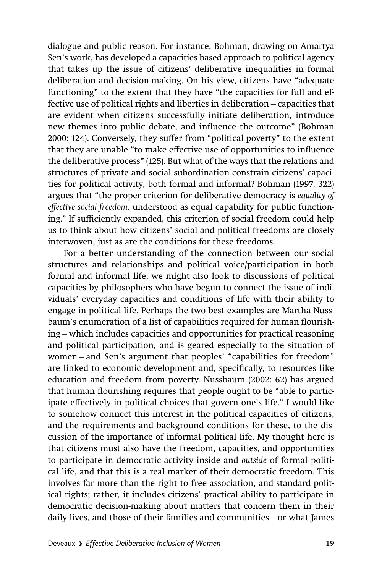dialogue and public reason. For instance, Bohman, drawing on Amartya Sen's work, has developed a capacities-based approach to political agency that takes up the issue of citizens' deliberative inequalities in formal deliberation and decision-making. On his view, citizens have "adequate functioning" to the extent that they have "the capacities for full and effective use of political rights and liberties in deliberation—capacities that are evident when citizens successfully initiate deliberation, introduce new themes into public debate, and influence the outcome" (Bohman 2000: 124). Conversely, they suffer from "political poverty" to the extent that they are unable "to make effective use of opportunities to influence the deliberative process" (125). But what of the ways that the relations and structures of private and social subordination constrain citizens' capacities for political activity, both formal and informal? Bohman (1997: 322) argues that "the proper criterion for deliberative democracy is *equality of*  effective social freedom, understood as equal capability for public functioning." If sufficiently expanded, this criterion of social freedom could help us to think about how citizens' social and political freedoms are closely interwoven, just as are the conditions for these freedoms.

For a better understanding of the connection between our social structures and relationships and political voice/participation in both formal and informal life, we might also look to discussions of political capacities by philosophers who have begun to connect the issue of individuals' everyday capacities and conditions of life with their ability to engage in political life. Perhaps the two best examples are Martha Nussbaum's enumeration of a list of capabilities required for human flourishing—which includes capacities and opportunities for practical reasoning and political participation, and is geared especially to the situation of women—and Sen's argument that peoples' "capabilities for freedom" are linked to economic development and, specifically, to resources like education and freedom from poverty. Nussbaum (2002: 62) has argued that human flourishing requires that people ought to be "able to participate effectively in political choices that govern one's life." I would like to somehow connect this interest in the political capacities of citizens, and the requirements and background conditions for these, to the discussion of the importance of informal political life. My thought here is that citizens must also have the freedom, capacities, and opportunities to participate in democratic activity inside and *outside* of formal political life, and that this is a real marker of their democratic freedom. This involves far more than the right to free association, and standard political rights; rather, it includes citizens' practical ability to participate in democratic decision-making about matters that concern them in their daily lives, and those of their families and communities—or what James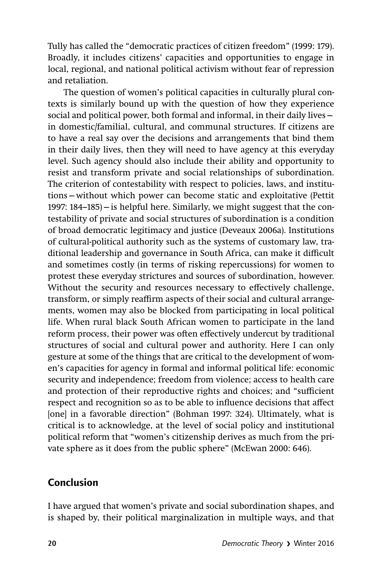Tully has called the "democratic practices of citizen freedom" (1999: 179). Broadly, it includes citizens' capacities and opportunities to engage in local, regional, and national political activism without fear of repression and retaliation.

The question of women's political capacities in culturally plural contexts is similarly bound up with the question of how they experience social and political power, both formal and informal, in their daily lives in domestic/familial, cultural, and communal structures. If citizens are to have a real say over the decisions and arrangements that bind them in their daily lives, then they will need to have agency at this everyday level. Such agency should also include their ability and opportunity to resist and transform private and social relationships of subordination. The criterion of contestability with respect to policies, laws, and institutions—without which power can become static and exploitative (Pettit 1997: 184–185)—is helpful here. Similarly, we might suggest that the contestability of private and social structures of subordination is a condition of broad democratic legitimacy and justice (Deveaux 2006a). Institutions of cultural-political authority such as the systems of customary law, traditional leadership and governance in South Africa, can make it difficult and sometimes costly (in terms of risking repercussions) for women to protest these everyday strictures and sources of subordination, however. Without the security and resources necessary to effectively challenge, transform, or simply reaffirm aspects of their social and cultural arrangements, women may also be blocked from participating in local political life. When rural black South African women to participate in the land reform process, their power was often effectively undercut by traditional structures of social and cultural power and authority. Here I can only gesture at some of the things that are critical to the development of women's capacities for agency in formal and informal political life: economic security and independence; freedom from violence; access to health care and protection of their reproductive rights and choices; and "sufficient respect and recognition so as to be able to influence decisions that affect [one] in a favorable direction" (Bohman 1997: 324). Ultimately, what is critical is to acknowledge, at the level of social policy and institutional political reform that "women's citizenship derives as much from the private sphere as it does from the public sphere" (McEwan 2000: 646).

# **Conclusion**

I have argued that women's private and social subordination shapes, and is shaped by, their political marginalization in multiple ways, and that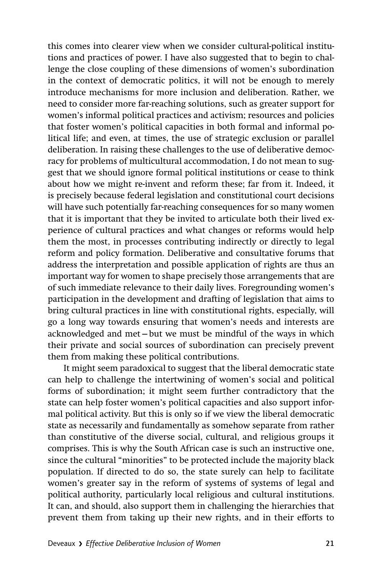this comes into clearer view when we consider cultural-political institutions and practices of power. I have also suggested that to begin to challenge the close coupling of these dimensions of women's subordination in the context of democratic politics, it will not be enough to merely introduce mechanisms for more inclusion and deliberation. Rather, we need to consider more far-reaching solutions, such as greater support for women's informal political practices and activism; resources and policies that foster women's political capacities in both formal and informal political life; and even, at times, the use of strategic exclusion or parallel deliberation. In raising these challenges to the use of deliberative democracy for problems of multicultural accommodation, I do not mean to suggest that we should ignore formal political institutions or cease to think about how we might re-invent and reform these; far from it. Indeed, it is precisely because federal legislation and constitutional court decisions will have such potentially far-reaching consequences for so many women that it is important that they be invited to articulate both their lived experience of cultural practices and what changes or reforms would help them the most, in processes contributing indirectly or directly to legal reform and policy formation. Deliberative and consultative forums that address the interpretation and possible application of rights are thus an important way for women to shape precisely those arrangements that are of such immediate relevance to their daily lives. Foregrounding women's participation in the development and drafting of legislation that aims to bring cultural practices in line with constitutional rights, especially, will go a long way towards ensuring that women's needs and interests are acknowledged and met—but we must be mindful of the ways in which their private and social sources of subordination can precisely prevent them from making these political contributions.

It might seem paradoxical to suggest that the liberal democratic state can help to challenge the intertwining of women's social and political forms of subordination; it might seem further contradictory that the state can help foster women's political capacities and also support informal political activity. But this is only so if we view the liberal democratic state as necessarily and fundamentally as somehow separate from rather than constitutive of the diverse social, cultural, and religious groups it comprises. This is why the South African case is such an instructive one, since the cultural "minorities" to be protected include the majority black population. If directed to do so, the state surely can help to facilitate women's greater say in the reform of systems of systems of legal and political authority, particularly local religious and cultural institutions. It can, and should, also support them in challenging the hierarchies that prevent them from taking up their new rights, and in their efforts to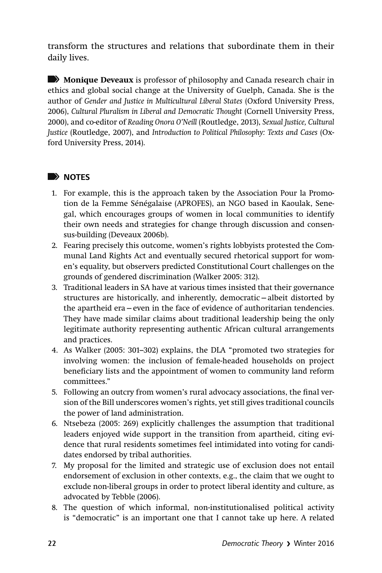transform the structures and relations that subordinate them in their daily lives.

**Monique Deveaux** is professor of philosophy and Canada research chair in ethics and global social change at the University of Guelph, Canada. She is the author of *Gender and Justice in Multicultural Liberal States* (Oxford University Press, 2006), *Cultural Pluralism in Liberal and Democratic Thought* (Cornell University Press, 2000), and co-editor of *Reading Onora O'Neill* (Routledge, 2013), *Sexual Justice, Cultural Justice* (Routledge, 2007), and *Introduction to Political Philosophy: Texts and Cases* (Oxford University Press, 2014).

#### **NOTES**

- 1. For example, this is the approach taken by the Association Pour la Promotion de la Femme Sénégalaise (APROFES), an NGO based in Kaoulak, Senegal, which encourages groups of women in local communities to identify their own needs and strategies for change through discussion and consensus-building (Deveaux 2006b).
- 2. Fearing precisely this outcome, women's rights lobbyists protested the Communal Land Rights Act and eventually secured rhetorical support for women's equality, but observers predicted Constitutional Court challenges on the grounds of gendered discrimination (Walker 2005: 312).
- 3. Traditional leaders in SA have at various times insisted that their governance structures are historically, and inherently, democratic—albeit distorted by the apartheid era—even in the face of evidence of authoritarian tendencies. They have made similar claims about traditional leadership being the only legitimate authority representing authentic African cultural arrangements and practices.
- 4. As Walker (2005: 301–302) explains, the DLA "promoted two strategies for involving women: the inclusion of female-headed households on project beneficiary lists and the appointment of women to community land reform committees."
- 5. Following an outcry from women's rural advocacy associations, the final version of the Bill underscores women's rights, yet still gives traditional councils the power of land administration.
- 6. Ntsebeza (2005: 269) explicitly challenges the assumption that traditional leaders enjoyed wide support in the transition from apartheid, citing evidence that rural residents sometimes feel intimidated into voting for candidates endorsed by tribal authorities.
- 7. My proposal for the limited and strategic use of exclusion does not entail endorsement of exclusion in other contexts, e.g., the claim that we ought to exclude non-liberal groups in order to protect liberal identity and culture, as advocated by Tebble (2006).
- 8. The question of which informal, non-institutionalised political activity is "democratic" is an important one that I cannot take up here. A related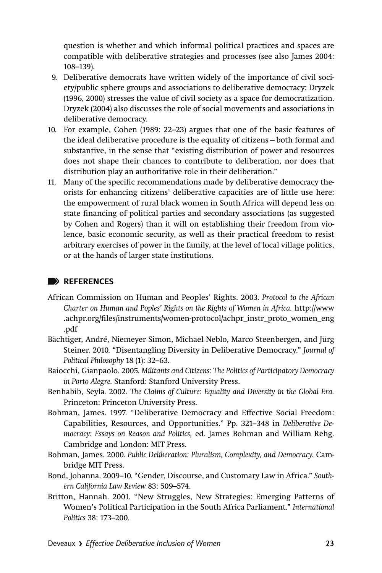question is whether and which informal political practices and spaces are compatible with deliberative strategies and processes (see also James 2004: 108–139).

- 9. Deliberative democrats have written widely of the importance of civil society/public sphere groups and associations to deliberative democracy: Dryzek (1996, 2000) stresses the value of civil society as a space for democratization. Dryzek (2004) also discusses the role of social movements and associations in deliberative democracy.
- 10. For example, Cohen (1989: 22–23) argues that one of the basic features of the ideal deliberative procedure is the equality of citizens—both formal and substantive, in the sense that "existing distribution of power and resources does not shape their chances to contribute to deliberation, nor does that distribution play an authoritative role in their deliberation."
- 11. Many of the specific recommendations made by deliberative democracy theorists for enhancing citizens' deliberative capacities are of little use here: the empowerment of rural black women in South Africa will depend less on state financing of political parties and secondary associations (as suggested by Cohen and Rogers) than it will on establishing their freedom from violence, basic economic security, as well as their practical freedom to resist arbitrary exercises of power in the family, at the level of local village politics, or at the hands of larger state institutions.

#### **EXPRESERENCES**

- African Commission on Human and Peoples' Rights. 2003. *Protocol to the African Charter on Human and Poples' Rights on the Rights of Women in Africa.* http://www .achpr.org/fi les/instruments/women-protocol/achpr\_instr\_proto\_women\_eng .pdf
- Bächtiger, André, Niemeyer Simon, Michael Neblo, Marco Steenbergen, and Jürg Steiner. 2010. "Disentangling Diversity in Deliberative Democracy." *Journal of Political Philosophy* 18 (1): 32–63.
- Baiocchi, Gianpaolo. 2005. *Militants and Citizens: The Politics of Participatory Democracy in Porto Alegre.* Stanford: Stanford University Press.
- Benhabib, Seyla*.* 2002. *The Claims of Culture: Equality and Diversity in the Global Era.* Princeton: Princeton University Press.
- Bohman, James. 1997. "Deliberative Democracy and Effective Social Freedom: Capabilities, Resources, and Opportunities." Pp. 321–348 in *Deliberative Democracy: Essays on Reason and Politics,* ed. James Bohman and William Rehg. Cambridge and London: MIT Press.
- Bohman, James. 2000. *Public Deliberation: Pluralism, Complexity, and Democracy.* Cambridge MIT Press.
- Bond, Johanna. 2009–10. "Gender, Discourse, and Customary Law in Africa." *Southern California Law Review* 83: 509–574.
- Britton, Hannah. 2001. "New Struggles, New Strategies: Emerging Patterns of Women's Political Participation in the South Africa Parliament." *International Politics* 38: 173–200.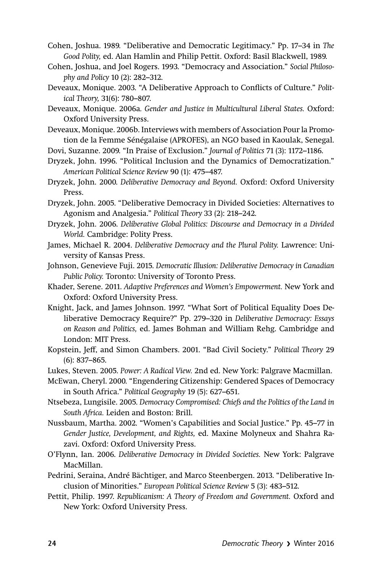- Cohen, Joshua. 1989. "Deliberative and Democratic Legitimacy." Pp. 17–34 in *The Good Polity,* ed. Alan Hamlin and Philip Pettit. Oxford: Basil Blackwell, 1989.
- Cohen, Joshua, and Joel Rogers. 1993. "Democracy and Association." *Social Philosophy and Policy* 10 (2): 282–312.
- Deveaux, Monique. 2003. "A Deliberative Approach to Conflicts of Culture." *Political Theory,* 31(6): 780–807.
- Deveaux, Monique. 2006a*. Gender and Justice in Multicultural Liberal States.* Oxford: Oxford University Press.
- Deveaux, Monique. 2006b. Interviews with members of Association Pour la Promotion de la Femme Sénégalaise (APROFES), an NGO based in Kaoulak, Senegal.
- Dovi, Suzanne. 2009. "In Praise of Exclusion." *Journal of Politics* 71 (3): 1172–1186.
- Dryzek, John. 1996. "Political Inclusion and the Dynamics of Democratization." *American Political Science Review* 90 (1): 475–487.
- Dryzek, John. 2000. *Deliberative Democracy and Beyond.* Oxford: Oxford University Press.
- Dryzek, John. 2005. "Deliberative Democracy in Divided Societies: Alternatives to Agonism and Analgesia." *Political Theory* 33 (2): 218–242.
- Dryzek, John. 2006. *Deliberative Global Politics: Discourse and Democracy in a Divided World.* Cambridge: Polity Press.
- James, Michael R. 2004. *Deliberative Democracy and the Plural Polity.* Lawrence: University of Kansas Press.
- Johnson, Genevieve Fuji. 2015. *Democratic Illusion: Deliberative Democracy in Canadian Public Policy.* Toronto: University of Toronto Press.
- Khader, Serene. 2011. *Adaptive Preferences and Women's Empowerment.* New York and Oxford: Oxford University Press.
- Knight, Jack, and James Johnson. 1997. "What Sort of Political Equality Does Deliberative Democracy Require?" Pp. 279–320 in *Deliberative Democracy: Essays on Reason and Politics,* ed. James Bohman and William Rehg. Cambridge and London: MIT Press.
- Kopstein, Jeff , and Simon Chambers. 2001. "Bad Civil Society." *Political Theory* 29 (6): 837–865.
- Lukes, Steven. 2005. *Power: A Radical View.* 2nd ed. New York: Palgrave Macmillan.
- McEwan, Cheryl. 2000. "Engendering Citizenship: Gendered Spaces of Democracy in South Africa." *Political Geography* 19 (5): 627–651.
- Ntsebeza, Lungisile. 2005. *Democracy Compromised: Chiefs and the Politics of the Land in South Africa.* Leiden and Boston: Brill.
- Nussbaum, Martha. 2002. "Women's Capabilities and Social Justice." Pp. 45–77 in *Gender Justice, Development, and Rights,* ed. Maxine Molyneux and Shahra Razavi. Oxford: Oxford University Press.
- O'Flynn, Ian. 2006. *Deliberative Democracy in Divided Societies.* New York: Palgrave MacMillan.
- Pedrini, Seraina, André Bächtiger, and Marco Steenbergen. 2013. "Deliberative Inclusion of Minorities." *European Political Science Review* 5 (3): 483–512.
- Pettit, Philip. 1997. *Republicanism: A Theory of Freedom and Government.* Oxford and New York: Oxford University Press.